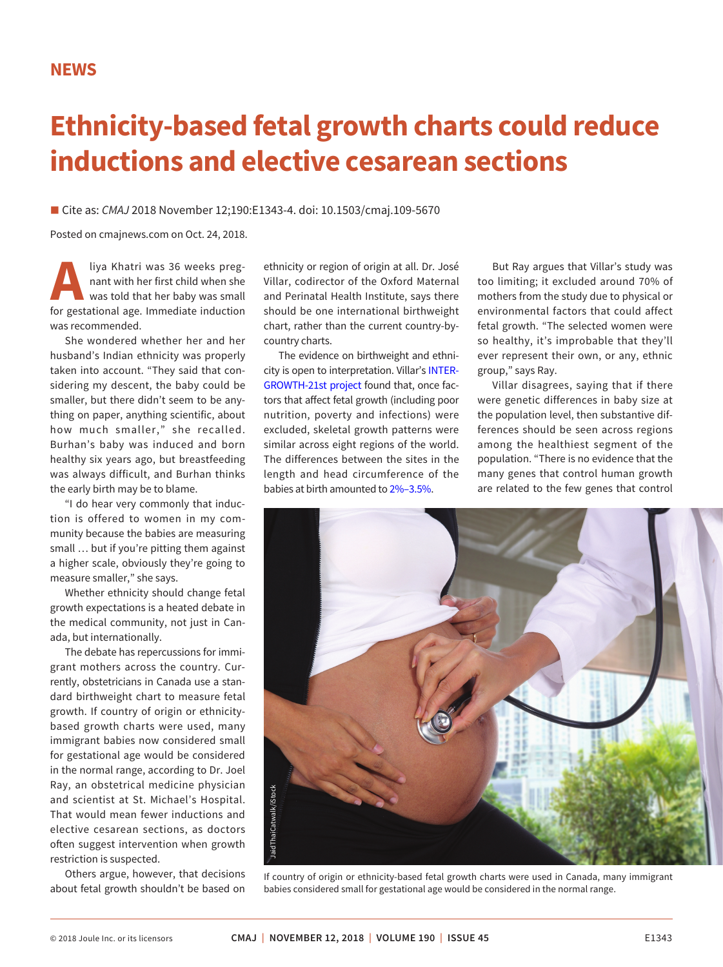## **Ethnicity-based fetal growth charts could reduce inductions and elective cesarean sections**

■ Cite as: *CMAJ* 2018 November 12;190:E1343-4. doi: 10.1503/cmaj.109-5670

Posted on cmajnews.com on Oct. 24, 2018.

**Aliya Khatri was 36 weeks preg-**<br>
nant with her first child when she<br>
was told that her baby was small<br>
for gestational age. Immediate induction nant with her first child when she was told that her baby was small was recommended.

She wondered whether her and her husband's Indian ethnicity was properly taken into account. "They said that considering my descent, the baby could be smaller, but there didn't seem to be anything on paper, anything scientific, about how much smaller," she recalled. Burhan's baby was induced and born healthy six years ago, but breastfeeding was always difficult, and Burhan thinks the early birth may be to blame.

"I do hear very commonly that induction is offered to women in my community because the babies are measuring small … but if you're pitting them against a higher scale, obviously they're going to measure smaller," she says.

Whether ethnicity should change fetal growth expectations is a heated debate in the medical community, not just in Canada, but internationally.

The debate has repercussions for immigrant mothers across the country. Currently, obstetricians in Canada use a standard birthweight chart to measure fetal growth. If country of origin or ethnicitybased growth charts were used, many immigrant babies now considered small for gestational age would be considered in the normal range, according to Dr. Joel Ray, an obstetrical medicine physician and scientist at St. Michael's Hospital. That would mean fewer inductions and elective cesarean sections, as doctors often suggest intervention when growth restriction is suspected.

Others argue, however, that decisions about fetal growth shouldn't be based on

ethnicity or region of origin at all. Dr. José Villar, codirector of the Oxford Maternal and Perinatal Health Institute, says there should be one international birthweight chart, rather than the current country-bycountry charts.

The evidence on birthweight and ethnicity is open to interpretation. Villar's [INTER-](https://www.wrh.ox.ac.uk/research/intergrowth-21st)[GROWTH-21st project](https://www.wrh.ox.ac.uk/research/intergrowth-21st) found that, once factors that affect fetal growth (including poor nutrition, poverty and infections) were excluded, skeletal growth patterns were similar across eight regions of the world. The differences between the sites in the length and head circumference of the babies at birth amounted to [2%–3.5%.](https://www.ncbi.nlm.nih.gov/pubmed/25009082)

But Ray argues that Villar's study was too limiting; it excluded around 70% of mothers from the study due to physical or environmental factors that could affect fetal growth. "The selected women were so healthy, it's improbable that they'll ever represent their own, or any, ethnic group," says Ray.

Villar disagrees, saying that if there were genetic differences in baby size at the population level, then substantive differences should be seen across regions among the healthiest segment of the population. "There is no evidence that the many genes that control human growth are related to the few genes that control



If country of origin or ethnicity-based fetal growth charts were used in Canada, many immigrant